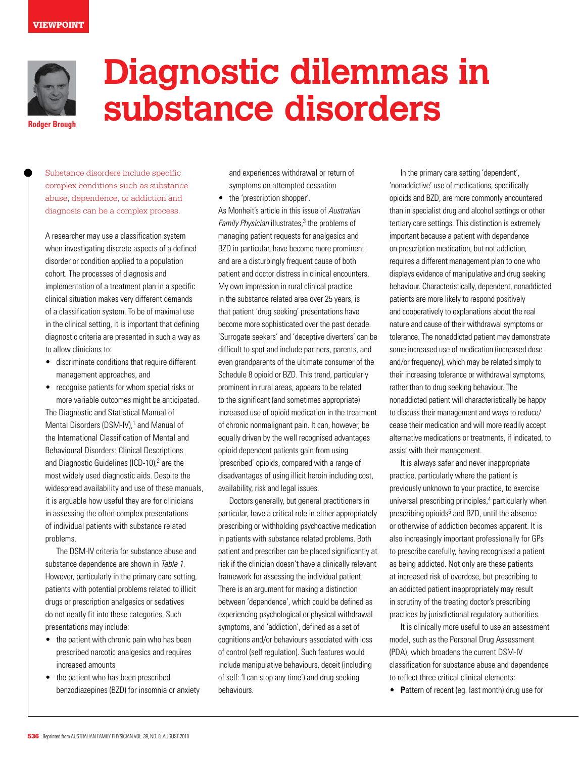

**Rodger Brough**

# **Diagnostic dilemmas in substance disorders**

Substance disorders include specific complex conditions such as substance abuse, dependence, or addiction and diagnosis can be a complex process.

A researcher may use a classification system when investigating discrete aspects of a defined disorder or condition applied to a population cohort. The processes of diagnosis and implementation of a treatment plan in a specific clinical situation makes very different demands of a classification system. To be of maximal use in the clinical setting, it is important that defining diagnostic criteria are presented in such a way as to allow clinicians to:

- • discriminate conditions that require different management approaches, and
- recognise patients for whom special risks or more variable outcomes might be anticipated.

The Diagnostic and Statistical Manual of Mental Disorders (DSM-IV),<sup>1</sup> and Manual of the International Classification of Mental and Behavioural Disorders: Clinical Descriptions and Diagnostic Guidelines (ICD-10),<sup>2</sup> are the most widely used diagnostic aids. Despite the widespread availability and use of these manuals, it is arguable how useful they are for clinicians in assessing the often complex presentations of individual patients with substance related problems.

 The DSM-IV criteria for substance abuse and substance dependence are shown in Table 1. However, particularly in the primary care setting, patients with potential problems related to illicit drugs or prescription analgesics or sedatives do not neatly fit into these categories. Such presentations may include:

- the patient with chronic pain who has been prescribed narcotic analgesics and requires increased amounts
- the patient who has been prescribed benzodiazepines (BZD) for insomnia or anxiety

and experiences withdrawal or return of symptoms on attempted cessation

• the 'prescription shopper'.

As Monheit's article in this issue of Australian Family Physician illustrates,<sup>3</sup> the problems of managing patient requests for analgesics and BZD in particular, have become more prominent and are a disturbingly frequent cause of both patient and doctor distress in clinical encounters. My own impression in rural clinical practice in the substance related area over 25 years, is that patient 'drug seeking' presentations have become more sophisticated over the past decade. 'Surrogate seekers' and 'deceptive diverters' can be difficult to spot and include partners, parents, and even grandparents of the ultimate consumer of the Schedule 8 opioid or BZD. This trend, particularly prominent in rural areas, appears to be related to the significant (and sometimes appropriate) increased use of opioid medication in the treatment of chronic nonmalignant pain. It can, however, be equally driven by the well recognised advantages opioid dependent patients gain from using 'prescribed' opioids, compared with a range of disadvantages of using illicit heroin including cost, availability, risk and legal issues.

Doctors generally, but general practitioners in particular, have a critical role in either appropriately prescribing or withholding psychoactive medication in patients with substance related problems. Both patient and prescriber can be placed significantly at risk if the clinician doesn't have a clinically relevant framework for assessing the individual patient. There is an argument for making a distinction between 'dependence', which could be defined as experiencing psychological or physical withdrawal symptoms, and 'addiction', defined as a set of cognitions and/or behaviours associated with loss of control (self regulation). Such features would include manipulative behaviours, deceit (including of self: 'I can stop any time') and drug seeking behaviours.

In the primary care setting 'dependent', 'nonaddictive' use of medications, specifically opioids and BZD, are more commonly encountered than in specialist drug and alcohol settings or other tertiary care settings. This distinction is extremely important because a patient with dependence on prescription medication, but not addiction, requires a different management plan to one who displays evidence of manipulative and drug seeking behaviour. Characteristically, dependent, nonaddicted patients are more likely to respond positively and cooperatively to explanations about the real nature and cause of their withdrawal symptoms or tolerance. The nonaddicted patient may demonstrate some increased use of medication (increased dose and/or frequency), which may be related simply to their increasing tolerance or withdrawal symptoms, rather than to drug seeking behaviour. The nonaddicted patient will characteristically be happy to discuss their management and ways to reduce/ cease their medication and will more readily accept alternative medications or treatments, if indicated, to assist with their management.

 It is always safer and never inappropriate practice, particularly where the patient is previously unknown to your practice, to exercise universal prescribing principles,<sup>4</sup> particularly when prescribing opioids<sup>5</sup> and BZD, until the absence or otherwise of addiction becomes apparent. It is also increasingly important professionally for GPs to prescribe carefully, having recognised a patient as being addicted. Not only are these patients at increased risk of overdose, but prescribing to an addicted patient inappropriately may result in scrutiny of the treating doctor's prescribing practices by jurisdictional regulatory authorities.

 It is clinically more useful to use an assessment model, such as the Personal Drug Assessment (PDA), which broadens the current DSM-IV classification for substance abuse and dependence to reflect three critical clinical elements:

• **P**attern of recent (eg. last month) drug use for